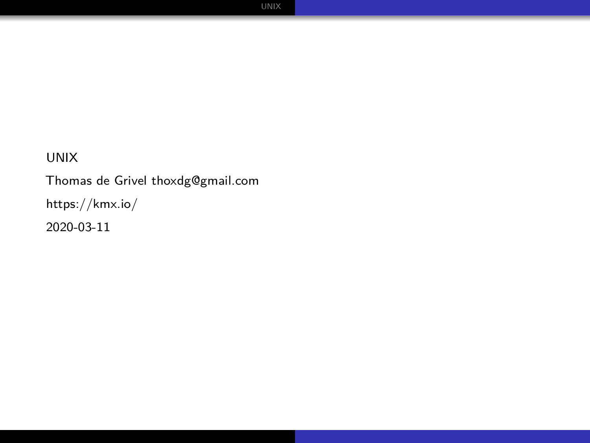#### UNIX

Thomas de Grivel [thoxdg@gmail.com](mailto:thoxdg@gmail.com) <https://kmx.io/> 2020-03-11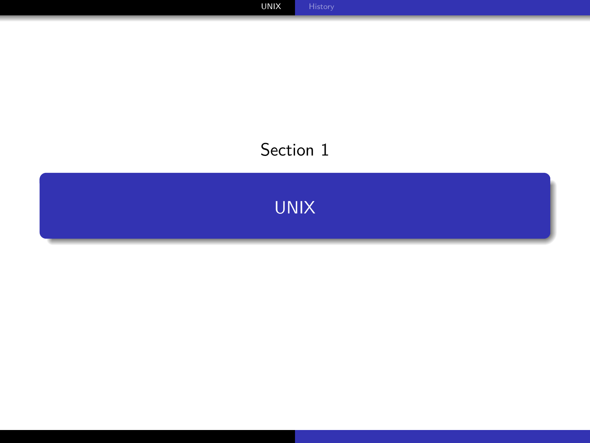## <span id="page-1-0"></span>Section 1

[UNIX](#page-1-0)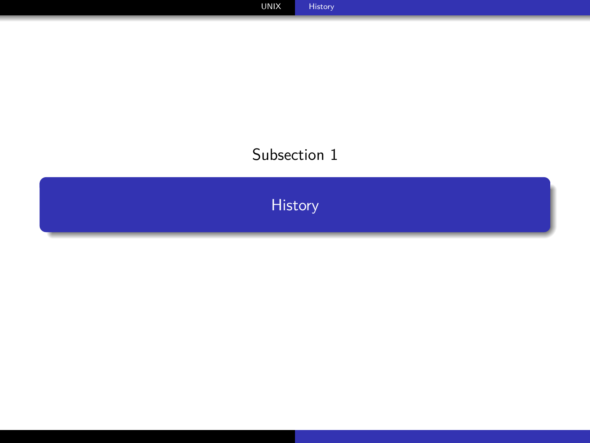## <span id="page-2-0"></span>Subsection 1

[History](#page-2-0)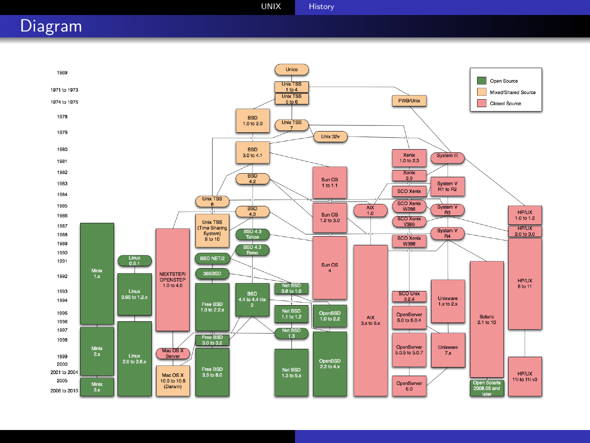[UNIX](#page-1-0) [History](#page-2-0)

### Diagram

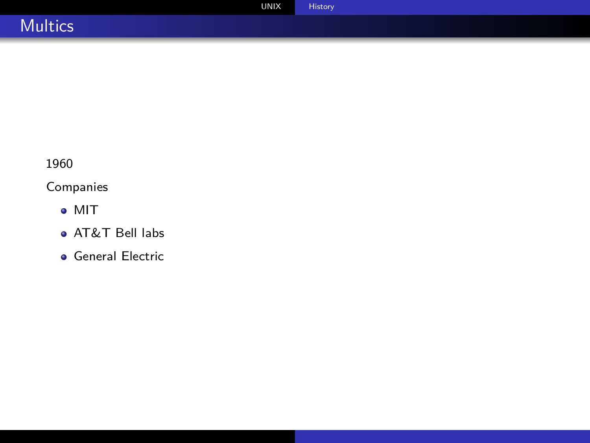|                | <b>UNIX</b> | <b>History</b> |  |
|----------------|-------------|----------------|--|
| <b>Multics</b> |             |                |  |

1960

#### Companies

- MIT
- AT&T Bell labs
- **General Electric**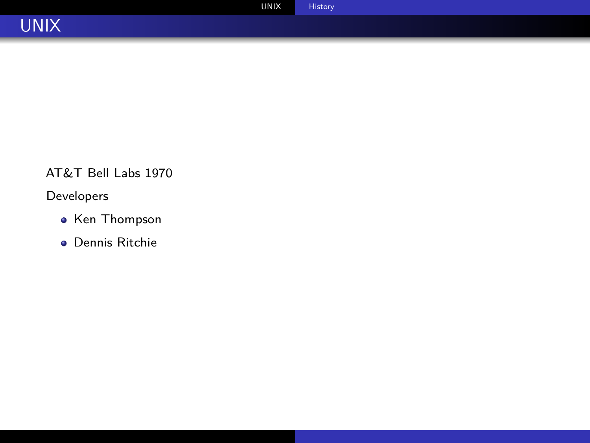

#### AT&T Bell Labs 1970

#### Developers

- Ken Thompson
- Dennis Ritchie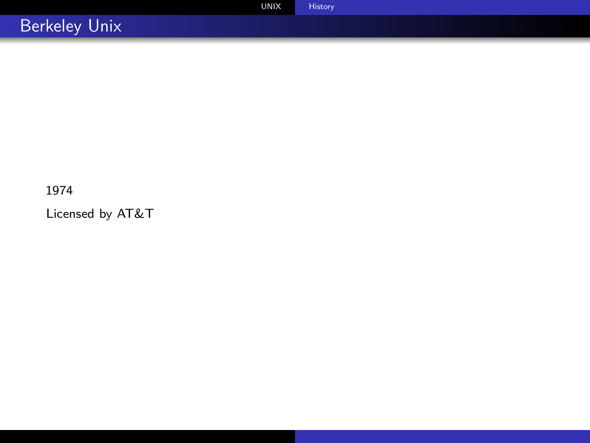| <b>UNIX</b>          | History |
|----------------------|---------|
| <b>Berkeley Unix</b> |         |

#### 1974

Licensed by AT&T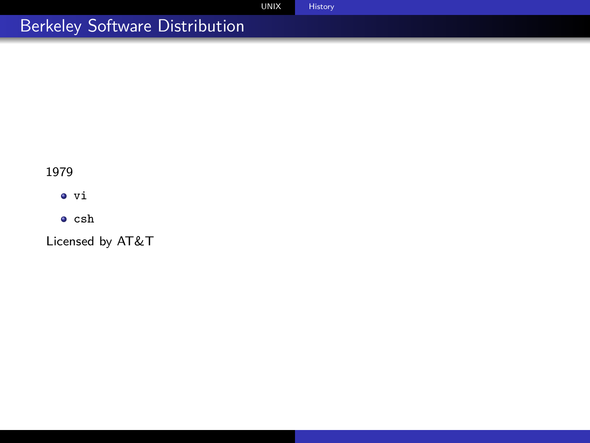# Berkeley Software Distribution

1979

 $\bullet$  vi

 $\bullet$  csh

Licensed by AT&T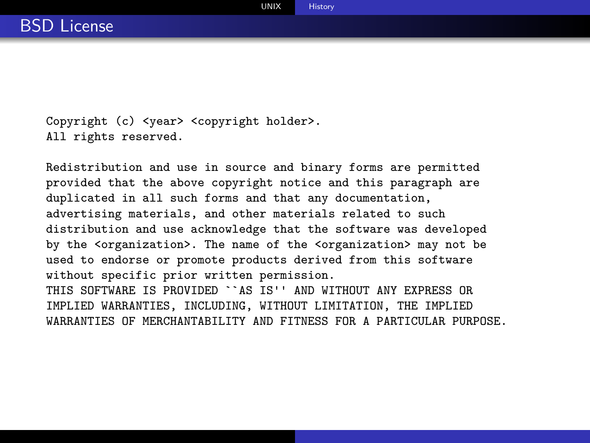Copyright (c) <year> <copyright holder>. All rights reserved.

Redistribution and use in source and binary forms are permitted provided that the above copyright notice and this paragraph are duplicated in all such forms and that any documentation, advertising materials, and other materials related to such distribution and use acknowledge that the software was developed by the <organization>. The name of the <organization> may not be used to endorse or promote products derived from this software without specific prior written permission. THIS SOFTWARE IS PROVIDED ``AS IS'' AND WITHOUT ANY EXPRESS OR IMPLIED WARRANTIES, INCLUDING, WITHOUT LIMITATION, THE IMPLIED WARRANTIES OF MERCHANTABILITY AND FITNESS FOR A PARTICULAR PURPOSE.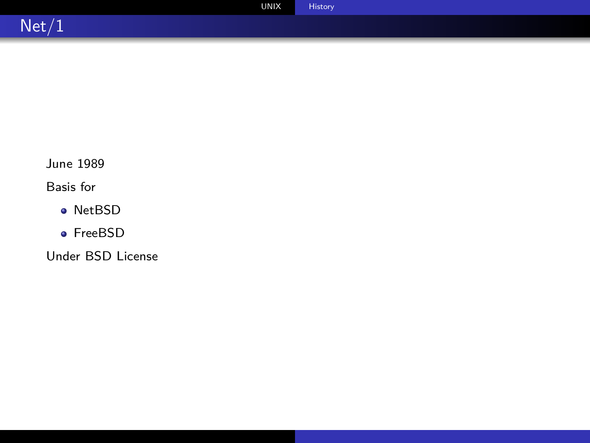|       | <b>UNIX</b> | History |
|-------|-------------|---------|
| Net/1 |             |         |

June 1989

Basis for

- NetBSD
- FreeBSD

Under BSD License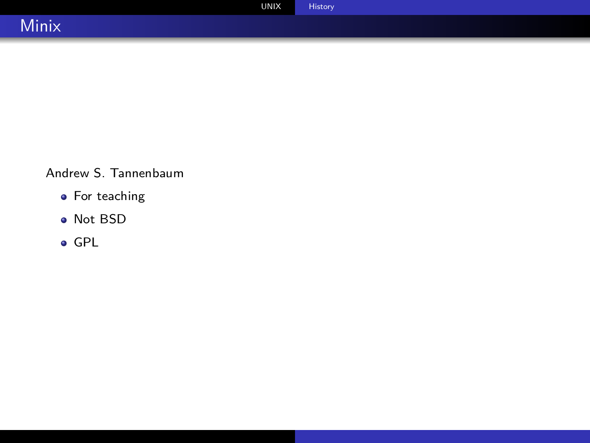|                          | <b>UNIX</b> | History <sup>1</sup> |
|--------------------------|-------------|----------------------|
| <b>A</b><br><b>Minix</b> |             |                      |

Andrew S. Tannenbaum

- For teaching
- Not BSD
- GPL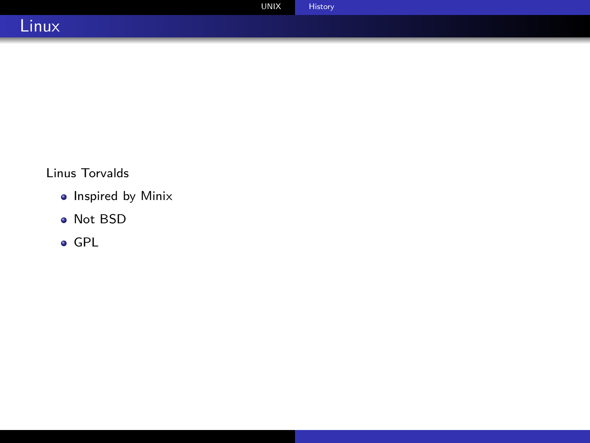|               | <b>UNIX</b> | <b>History</b> |  |
|---------------|-------------|----------------|--|
| . .<br>Linux. |             |                |  |

### Linus Torvalds

- Inspired by Minix
- Not BSD
- GPL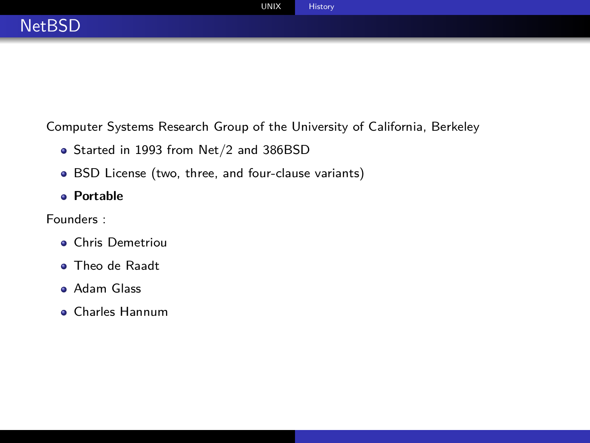|               | <b>UNIX</b> | History |
|---------------|-------------|---------|
| <b>NetBSD</b> |             |         |
|               |             |         |

Computer Systems Research Group of the University of California, Berkeley

- Started in 1993 from Net/2 and 386BSD
- BSD License (two, three, and four-clause variants)
- **Portable**

Founders :

- Chris Demetriou
- **Theo de Raadt**
- Adam Glass
- Charles Hannum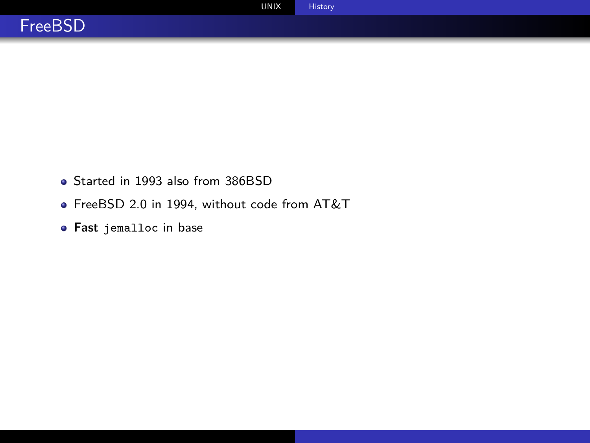- Started in 1993 also from 386BSD
- FreeBSD 2.0 in 1994, without code from AT&T
- **Fast** jemalloc in base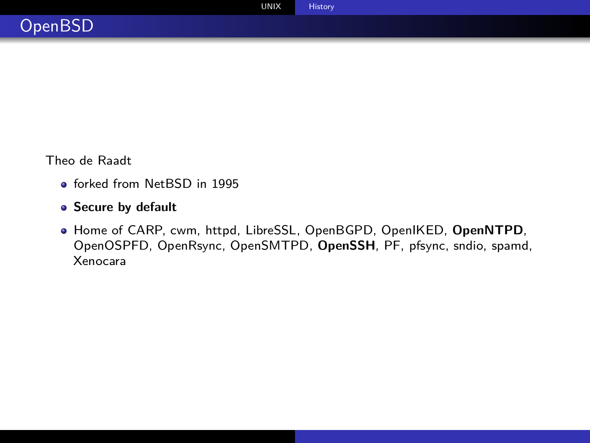Theo de Raadt

- **e** forked from NetBSD in 1995
- **Secure by default**
- Home of CARP, cwm, httpd, LibreSSL, OpenBGPD, OpenIKED, **OpenNTPD**, OpenOSPFD, OpenRsync, OpenSMTPD, **OpenSSH**, PF, pfsync, sndio, spamd, Xenocara